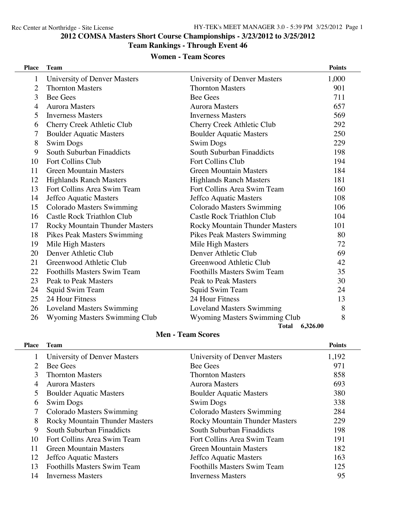# **COMSA Masters Short Course Championships - 3/23/2012 to 3/25/2012**

### **Team Rankings - Through Event 46**

### **Women - Team Scores**

| <b>Place</b>   | <b>Team</b>                       |                                   | <b>Points</b> |
|----------------|-----------------------------------|-----------------------------------|---------------|
| $\mathbf{1}$   | University of Denver Masters      | University of Denver Masters      | 1,000         |
| $\overline{2}$ | <b>Thornton Masters</b>           | <b>Thornton Masters</b>           | 901           |
| 3              | <b>Bee Gees</b>                   | <b>Bee Gees</b>                   | 711           |
| $\overline{4}$ | <b>Aurora Masters</b>             | <b>Aurora Masters</b>             | 657           |
| 5              | <b>Inverness Masters</b>          | <b>Inverness Masters</b>          | 569           |
| 6              | Cherry Creek Athletic Club        | Cherry Creek Athletic Club        | 292           |
| 7              | <b>Boulder Aquatic Masters</b>    | <b>Boulder Aquatic Masters</b>    | 250           |
| 8              | <b>Swim Dogs</b>                  | <b>Swim Dogs</b>                  | 229           |
| 9              | South Suburban Finaddicts         | South Suburban Finaddicts         | 198           |
| 10             | Fort Collins Club                 | Fort Collins Club                 | 194           |
| 11             | <b>Green Mountain Masters</b>     | <b>Green Mountain Masters</b>     | 184           |
| 12             | <b>Highlands Ranch Masters</b>    | <b>Highlands Ranch Masters</b>    | 181           |
| 13             | Fort Collins Area Swim Team       | Fort Collins Area Swim Team       | 160           |
| 14             | Jeffco Aquatic Masters            | Jeffco Aquatic Masters            | 108           |
| 15             | Colorado Masters Swimming         | Colorado Masters Swimming         | 106           |
| 16             | <b>Castle Rock Triathlon Club</b> | <b>Castle Rock Triathlon Club</b> | 104           |
| 17             | Rocky Mountain Thunder Masters    | Rocky Mountain Thunder Masters    | 101           |
| 18             | Pikes Peak Masters Swimming       | Pikes Peak Masters Swimming       | 80            |
| 19             | Mile High Masters                 | Mile High Masters                 | 72            |
| 20             | Denver Athletic Club              | Denver Athletic Club              | 69            |
| 21             | Greenwood Athletic Club           | Greenwood Athletic Club           | 42            |
| 22             | Foothills Masters Swim Team       | Foothills Masters Swim Team       | 35            |
| 23             | Peak to Peak Masters              | <b>Peak to Peak Masters</b>       | 30            |
| 24             | Squid Swim Team                   | Squid Swim Team                   | 24            |
| 25             | 24 Hour Fitness                   | 24 Hour Fitness                   | 13            |
| 26             | <b>Loveland Masters Swimming</b>  | <b>Loveland Masters Swimming</b>  | 8             |
| 26             | Wyoming Masters Swimming Club     | Wyoming Masters Swimming Club     | 8             |
|                |                                   | 6,326.00<br><b>Total</b>          |               |

### **Men - Team Scores**

| <b>Place</b> | <b>Team</b>                           |                                       | <b>Points</b> |
|--------------|---------------------------------------|---------------------------------------|---------------|
|              | University of Denver Masters          | University of Denver Masters          | 1,192         |
| 2.           | <b>Bee Gees</b>                       | <b>Bee Gees</b>                       | 971           |
| 3            | <b>Thornton Masters</b>               | <b>Thornton Masters</b>               | 858           |
| 4            | <b>Aurora Masters</b>                 | <b>Aurora Masters</b>                 | 693           |
| 5            | <b>Boulder Aquatic Masters</b>        | <b>Boulder Aquatic Masters</b>        | 380           |
| 6            | <b>Swim Dogs</b>                      | <b>Swim Dogs</b>                      | 338           |
|              | Colorado Masters Swimming             | Colorado Masters Swimming             | 284           |
| 8            | <b>Rocky Mountain Thunder Masters</b> | <b>Rocky Mountain Thunder Masters</b> | 229           |
| 9            | South Suburban Finaddicts             | South Suburban Finaddicts             | 198           |
| 10           | Fort Collins Area Swim Team           | Fort Collins Area Swim Team           | 191           |
| 11           | <b>Green Mountain Masters</b>         | Green Mountain Masters                | 182           |
| 12           | Jeffco Aquatic Masters                | Jeffco Aquatic Masters                | 163           |
| 13           | <b>Foothills Masters Swim Team</b>    | Foothills Masters Swim Team           | 125           |
| 14           | <b>Inverness Masters</b>              | <b>Inverness Masters</b>              | 95            |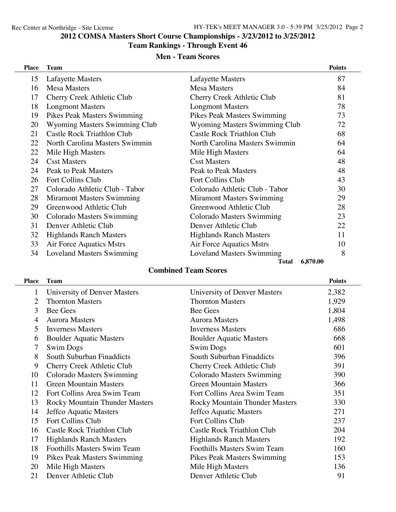# **COMSA Masters Short Course Championships - 3/23/2012 to 3/25/2012**

### **Team Rankings - Through Event 46**

## **Men - Team Scores**

| <b>Place</b> | <b>Team</b>                      |                                      | <b>Points</b> |
|--------------|----------------------------------|--------------------------------------|---------------|
| 15           | Lafayette Masters                | Lafayette Masters                    | 87            |
| 16           | <b>Mesa Masters</b>              | <b>Mesa Masters</b>                  | 84            |
| 17           | Cherry Creek Athletic Club       | Cherry Creek Athletic Club           | 81            |
| 18           | <b>Longmont Masters</b>          | <b>Longmont Masters</b>              | 78            |
| 19           | Pikes Peak Masters Swimming      | Pikes Peak Masters Swimming          | 73            |
| 20           | Wyoming Masters Swimming Club    | <b>Wyoming Masters Swimming Club</b> | 72            |
| 21           | Castle Rock Triathlon Club       | Castle Rock Triathlon Club           | 68            |
| 22           | North Carolina Masters Swimmin   | North Carolina Masters Swimmin       | 64            |
| 22           | Mile High Masters                | Mile High Masters                    | 64            |
| 24           | <b>Csst Masters</b>              | <b>Csst Masters</b>                  | 48            |
| 24           | <b>Peak to Peak Masters</b>      | <b>Peak to Peak Masters</b>          | 48            |
| 26           | <b>Fort Collins Club</b>         | <b>Fort Collins Club</b>             | 43            |
| 27           | Colorado Athletic Club - Tabor   | Colorado Athletic Club - Tabor       | 30            |
| 28           | <b>Miramont Masters Swimming</b> | <b>Miramont Masters Swimming</b>     | 29            |
| 29           | Greenwood Athletic Club          | Greenwood Athletic Club              | 28            |
| 30           | Colorado Masters Swimming        | <b>Colorado Masters Swimming</b>     | 23            |
| 31           | Denver Athletic Club             | Denver Athletic Club                 | 22            |
| 32           | <b>Highlands Ranch Masters</b>   | <b>Highlands Ranch Masters</b>       | 11            |
| 33           | Air Force Aquatics Mstrs         | Air Force Aquatics Mstrs             | 10            |
| 34           | <b>Loveland Masters Swimming</b> | <b>Loveland Masters Swimming</b>     | 8             |
|              |                                  | 6,870.00<br><b>Total</b>             |               |

## **Combined Team Scores**

| Place | Team                                  |                                       | <b>Points</b> |
|-------|---------------------------------------|---------------------------------------|---------------|
| 1     | University of Denver Masters          | University of Denver Masters          | 2,382         |
| 2     | <b>Thornton Masters</b>               | <b>Thornton Masters</b>               | 1,929         |
| 3     | <b>Bee Gees</b>                       | <b>Bee Gees</b>                       | 1,804         |
| 4     | <b>Aurora Masters</b>                 | <b>Aurora Masters</b>                 | 1,498         |
| 5     | <b>Inverness Masters</b>              | <b>Inverness Masters</b>              | 686           |
| 6     | <b>Boulder Aquatic Masters</b>        | <b>Boulder Aquatic Masters</b>        | 668           |
| 7     | Swim Dogs                             | Swim Dogs                             | 601           |
| 8     | South Suburban Finaddicts             | South Suburban Finaddicts             | 396           |
| 9     | Cherry Creek Athletic Club            | Cherry Creek Athletic Club            | 391           |
| 10    | Colorado Masters Swimming             | Colorado Masters Swimming             | 390           |
| 11    | <b>Green Mountain Masters</b>         | <b>Green Mountain Masters</b>         | 366           |
| 12    | Fort Collins Area Swim Team           | Fort Collins Area Swim Team           | 351           |
| 13    | <b>Rocky Mountain Thunder Masters</b> | <b>Rocky Mountain Thunder Masters</b> | 330           |
| 14    | Jeffco Aquatic Masters                | Jeffco Aquatic Masters                | 271           |
| 15    | Fort Collins Club                     | Fort Collins Club                     | 237           |
| 16    | Castle Rock Triathlon Club            | Castle Rock Triathlon Club            | 204           |
| 17    | <b>Highlands Ranch Masters</b>        | <b>Highlands Ranch Masters</b>        | 192           |
| 18    | Foothills Masters Swim Team           | <b>Foothills Masters Swim Team</b>    | 160           |
| 19    | Pikes Peak Masters Swimming           | Pikes Peak Masters Swimming           | 153           |
| 20    | Mile High Masters                     | Mile High Masters                     | 136           |
| 21    | Denver Athletic Club                  | Denver Athletic Club                  | 91            |
|       |                                       |                                       |               |